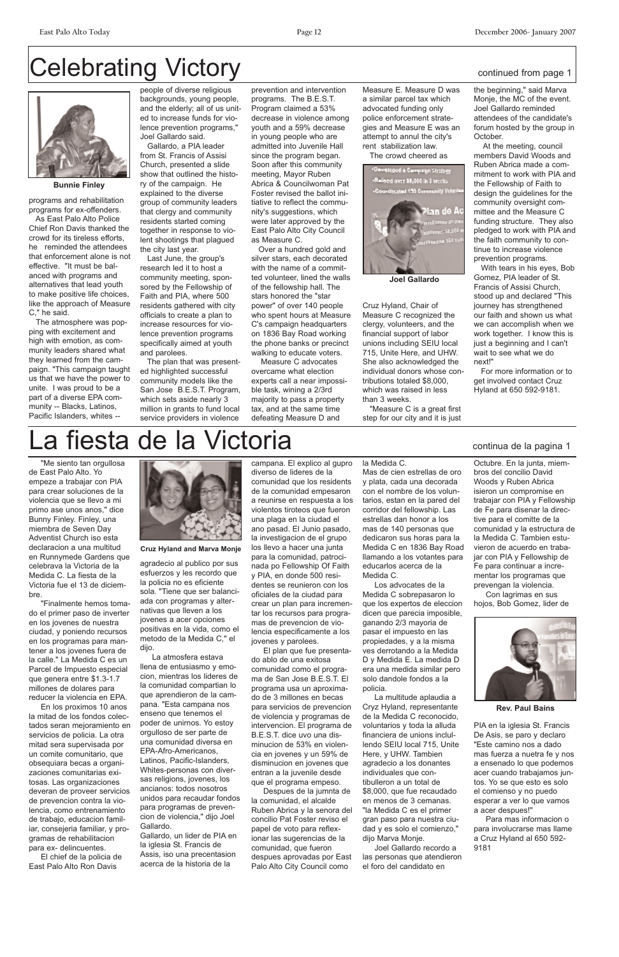## Celebrating Victory continued from page 1

"Me siento tan orgullosa de East Palo Alto. Yo empeze a trabajar con PIA para crear soluciones de la violencia que se llevo a mi primo ase unos anos," dice Bunny Finley. Finley, una miembra de Seven Day Adventist Church iso esta declaracion a una multitud en Runnymede Gardens que celebrava la Victoria de la Medida C. La fiesta de la Victoria fue el 13 de diciembre.

"Finalmente hemos tomado el primer paso de inverter en los jovenes de nuestra ciudad, y poniendo recursos en los programas para mantener a los jovenes fuera de la calle." La Medida C es un Parcel de Impuesto especial que genera entre \$1.3-1.7 millones de dolares para reducer la violencia en EPA. En los proximos 10 anos la mitad de los fondos colectados seran mejoramiento en servicios de policia. La otra mitad sera supervisada por un comite comunitario, que obsequiara becas a organizaciones comunitarias exitosas. Las organizaciones deveran de proveer servicios de prevencion contra la violencia, como entrenamiento de trabajo, educacion familiar, consejeria familiar, y programas de rehabilitacion para ex- delincuentes.

El chief de la policia de East Palo Alto Ron Davis

agradecio al publico por sus esfuerzos y les recordo que la policia no es eficiente sola. "Tiene que ser balanciada con programas y alternativas que lleven a los jovenes a acer opciones positivas en la vida, como el metodo de la Medida C," el dijo.

La atmosfera estava llena de entusiasmo y emocion, mientras los lideres de la comunidad compartian lo que aprendieron de la campana. "Esta campana nos enseno que tenemos el poder de unirnos. Yo estoy orgulloso de ser parte de una comunidad diversa en EPA-Afro-Americanos, Latinos, Pacific-Islanders, Whites-personas con diversas religions, jovenes, los ancianos: todos nosotros unidos para recaudar fondos para programas de prevencion de violencia," dijo Joel Gallardo.

Gallardo, un lider de PIA en la iglesia St. Francis de Assis, iso una precentasion acerca de la historia de la

campana. El explico al gupro diverso de lideres de la comunidad que los residents de la comunidad empesaron a reunirse en respuesta a los violentos tiroteos que fueron una plaga en la ciudad el ano pasad. El Junio pasado, la investigacion de el grupo los llevo a hacer una junta para la comunidad, patrocinada po Fellowship Of Faith y PIA, en donde 500 residentes se reunieron con los oficiales de la ciudad para crear un plan para incrementar los recursos para programas de prevencion de violencia especificamente a los jovenes y parolees.

El plan que fue presentado ablo de una exitosa comunidad como el programa de San Jose B.E.S.T. El programa usa un aproximado de 3 millones en becas para servicios de prevencion de violencia y programas de intervencion. El programa de B.E.S.T. dice uvo una disminucion de 53% en violencia en jovenes y un 59% de disminucion en jovenes que entran a la juvenile desde que el programa empeso. Despues de la jumnta de la comunidad, el alcalde Ruben Abrica y la senora del concilio Pat Foster reviso el papel de voto para reflexionar las sugerencias de la comunidad, que fueron despues aprovadas por East Palo Alto City Council como

la Medida C. Mas de cien estrellas de oro y plata, cada una decorada con el nombre de los voluntarios, estan en la pared del corridor del fellowship. Las estrellas dan honor a los mas de 140 personas que dedicaron sus horas para la Medida C en 1836 Bay Road llamando a los votantes para educarlos acerca de la Medida C.

Los advocates de la Medida C sobrepasaron lo que los expertos de eleccion dicen que parecia imposible, ganando 2/3 mayoria de pasar el impuesto en las propiedades, y a la misma ves derrotando a la Medida D y Medida E. La medida D era una medida similar pero solo dandole fondos a la policia.

La multitude aplaudia a

Cryz Hyland, representante de la Medida C reconocido, voluntarios y toda la alluda financiera de unions inclullendo SEIU local 715, Unite Here, y UHW. Tambien agradecio a los donantes individuales que contibulleron a un total de \$8,000, que fue recaudado en menos de 3 cemanas. "la Medida C es el primer gran paso para nuestra ciudad y es solo el comienzo," dijo Marva Monje.

Joel Gallardo recordo a las personas que atendieron el foro del candidato en

Octubre. En la junta, miembros del concilio David Woods y Ruben Abrica isieron un compromise en trabajar con PIA y Fellowship de Fe para disenar la directive para el comitte de la comunidad y la estructura de la Medida C. Tambien estuvieron de acuerdo en trabajar con PIA y Fellowship de Fe para continuar a incrementar los programas que prevengan la violencia.

Con lagrimas en sus hojos, Bob Gomez, lider de



PIA en la iglesia St. Francis De Asis, se paro y declaro "Este camino nos a dado mas fuerza a nuetra fe y nos a ensenado lo que podemos acer cuando trabajamos juntos. Yo se que esto es solo el comienso y no puedo esperar a ver lo que vamos a acer despues!"

Para mas informacion o para involucrarse mas llame a Cruz Hyland al 650 592- 9181

programs and rehabilitation programs for ex-offenders.

As East Palo Alto Police Chief Ron Davis thanked the crowd for its tireless efforts, he reminded the attendees that enforcement alone is not effective. "It must be balanced with programs and alternatives that lead youth to make positive life choices, like the approach of Measure C," he said.

The atmosphere was popping with excitement and high with emotion, as community leaders shared what they learned from the campaign. "This campaign taught us that we have the power to unite. I was proud to be a part of a diverse EPA community -- Blacks, Latinos, Pacific Islanders, whites --

people of diverse religious backgrounds, young people, and the elderly; all of us united to increase funds for violence prevention programs," Joel Gallardo said.

Gallardo, a PIA leader from St. Francis of Assisi Church, presented a slide show that outlined the history of the campaign. He explained to the diverse group of community leaders that clergy and community residents started coming together in response to violent shootings that plagued the city last year.

Last June, the group's research led it to host a community meeting, sponsored by the Fellowship of Faith and PIA, where 500 residents gathered with city officials to create a plan to increase resources for violence prevention programs specifically aimed at youth and parolees.

The plan that was presented highlighted successful community models like the San Jose B.E.S.T. Program, which sets aside nearly 3 million in grants to fund local service providers in violence

prevention and intervention programs. The B.E.S.T. Program claimed a 53% decrease in violence among youth and a 59% decrease in young people who are admitted into Juvenile Hall since the program began. Soon after this community meeting, Mayor Ruben Abrica & Councilwoman Pat Foster revised the ballot initiative to reflect the community's suggestions, which were later approved by the East Palo Alto City Council as Measure C.

Over a hundred gold and silver stars, each decorated with the name of a committed volunteer, lined the walls of the fellowship hall. The stars honored the "star power" of over 140 people who spent hours at Measure C's campaign headquarters on 1836 Bay Road working the phone banks or precinct walking to educate voters.

Measure C advocates overcame what election experts call a near impossible task, wining a 2/3rd majority to pass a property tax, and at the same time defeating Measure D and

Measure E. Measure D was a similar parcel tax which advocated funding only police enforcement strategies and Measure E was an attempt to annul the city's rent stabilization law.

The crowd cheered as

Cruz Hyland, Chair of Measure C recognized the clergy, volunteers, and the financial support of labor unions including SEIU local 715, Unite Here, and UHW. She also acknowledged the individual donors whose contributions totaled \$8,000, which was raised in less than 3 weeks.

"Measure C is a great first step for our city and it is just

the beginning," said Marva Monje, the MC of the event. Joel Gallardo reminded attendees of the candidate's forum hosted by the group in October.

At the meeting, council members David Woods and Ruben Abrica made a commitment to work with PIA and the Fellowship of Faith to design the guidelines for the community oversight committee and the Measure C funding structure. They also pledged to work with PIA and the faith community to continue to increase violence prevention programs.

With tears in his eyes, Bob Gomez, PIA leader of St. Francis of Assisi Church, stood up and declared "This journey has strengthened our faith and shown us what we can accomplish when we work together. I know this is just a beginning and I can't wait to see what we do next!"

For more information or to get involved contact Cruz Hyland at 650 592-9181.

## a fiesta de la Victoria continua de la pagina 1



**Joel Gallardo**



**Bunnie Finley**



**Cruz Hyland and Marva Monje**

#### **Rev. Paul Bains**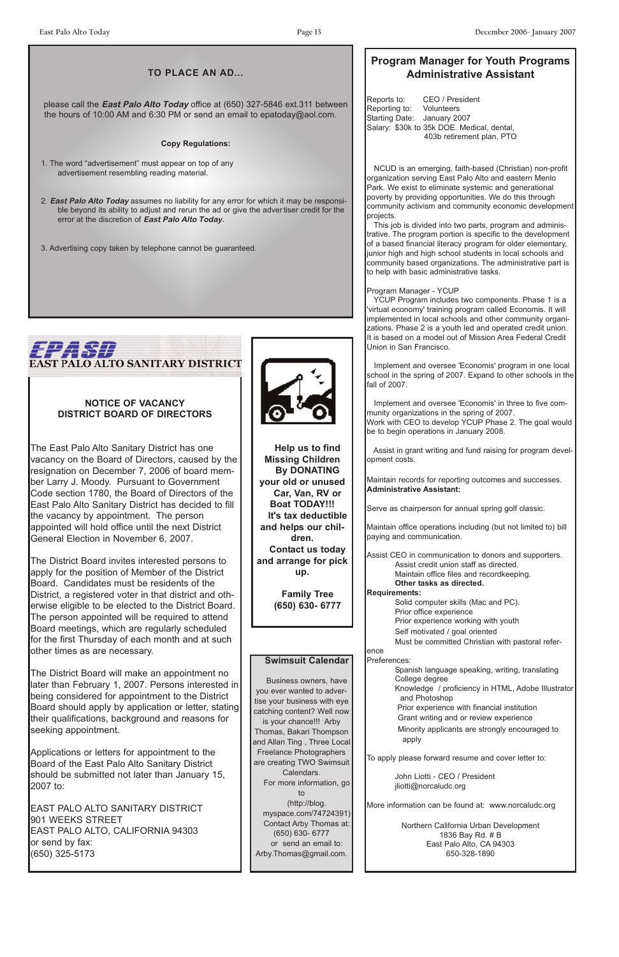#### **TO PLACE AN AD...**

### **Program Manager for Youth Programs Administrative Assistant**

Reports to: CEO / President Reporting to: Volunteers Starting Date: January 2007 Salary: \$30k to 35k DOE. Medical, dental, 403b retirement plan, PTO

NCUD is an emerging, faith-based (Christian) non-profit organization serving East Palo Alto and eastern Menlo Park. We exist to eliminate systemic and generational poverty by providing opportunities. We do this through community activism and community economic development projects.

This job is divided into two parts, program and administrative. The program portion is specific to the development of a based financial literacy program for older elementary, junior high and high school students in local schools and community based organizations. The administrative part is to help with basic administrative tasks.

#### Program Manager - YCUP

YCUP Program includes two components. Phase 1 is a 'virtual economy' training program called Economis. It will implemented in local schools and other community organizations. Phase 2 is a youth led and operated credit union. It is based on a model out of Mission Area Federal Credit Union in San Francisco.

Implement and oversee 'Economis' program in one local school in the spring of 2007. Expand to other schools in the fall of 2007.

Implement and oversee 'Economis' in three to five community organizations in the spring of 2007. Work with CEO to develop YCUP Phase 2. The goal would be to begin operations in January 2008.

Assist in grant writing and fund raising for program development costs.

Maintain records for reporting outcomes and successes. **Administrative Assistant:**

Serve as chairperson for annual spring golf classic.

Maintain office operations including (but not limited to) bill paying and communication.

Assist CEO in communication to donors and supporters. Assist credit union staff as directed. Maintain office files and recordkeeping. **Other tasks as directed.**

#### **Requirements:**

Solid computer skills (Mac and PC).

Prior office experience

Prior experience working with youth

Self motivated / goal oriented

Must be committed Christian with pastoral refer-

ence

#### Preferences:

Spanish language speaking, writing, translating College degree Knowledge / proficiency in HTML, Adobe Illustrator

and Photoshop

Prior experience with financial institution Grant writing and or review experience Minority applicants are strongly encouraged to apply

To apply please forward resume and cover letter to:

John Liotti - CEO / President jliotti@norcaludc.org

More information can be found at: www.norcaludc.org

Northern California Urban Development 1836 Bay Rd. # B East Palo Alto, CA 94303 650-328-1890

#### **NOTICE OF VACANCY DISTRICT BOARD OF DIRECTORS**

The East Palo Alto Sanitary District has one vacancy on the Board of Directors, caused by the resignation on December 7, 2006 of board member Larry J. Moody. Pursuant to Government Code section 1780, the Board of Directors of the East Palo Alto Sanitary District has decided to fill the vacancy by appointment. The person appointed will hold office until the next District General Election in November 6, 2007.

The District Board invites interested persons to apply for the position of Member of the District Board. Candidates must be residents of the District, a registered voter in that district and otherwise eligible to be elected to the District Board. The person appointed will be required to attend Board meetings, which are regularly scheduled for the first Thursday of each month and at such other times as are necessary.

The District Board will make an appointment no later than February 1, 2007. Persons interested in being considered for appointment to the District



Board should apply by application or letter, stating their qualifications, background and reasons for seeking appointment.

Applications or letters for appointment to the Board of the East Palo Alto Sanitary District should be submitted not later than January 15, 2007 to:

EAST PALO ALTO SANITARY DISTRICT 901 WEEKS STREET EAST PALO ALTO, CALIFORNIA 94303 or send by fax: (650) 325-5173

please call the **East Palo Alto Today** office at (650) 327-5846 ext.311 between the hours of 10:00 AM and 6:30 PM or send an email to epatoday@aol.com.

#### **Copy Regulations:**

1. The word "advertisement" must appear on top of any advertisement resembling reading material.

- 2. **East Palo Alto Today** assumes no liability for any error for which it may be responsible beyond its ability to adjust and rerun the ad or give the adver tiser credit for the error at the discretion of **East Palo Alto Today.**
- 3. Advertising copy taken by telephone cannot be guaranteed.

## EZ. 577 **EAST PALO ALTO SANITARY DISTRICT**

#### **Swimsuit Calendar**

Business owners, have you ever wanted to advertise your business with eye

catching content? Well now is your chance!!! Arby Thomas, Bakari Thompson and Allan Ting , Three Local Freelance Photographers are creating TWO Swimsuit Calendars. For more information, go to (http://blog. myspace.com/74724391) Contact Arby Thomas at: (650) 630- 6777 or send an email to: Arby.Thomas@gmail.com.

**Help us to find Missing Children By DONATING your old or unused Car, Van, RV or Boat TODAY!!! It's tax deductible and helps our children. Contact us today and arrange for pick up.** 

> **Family Tree (650) 630- 6777**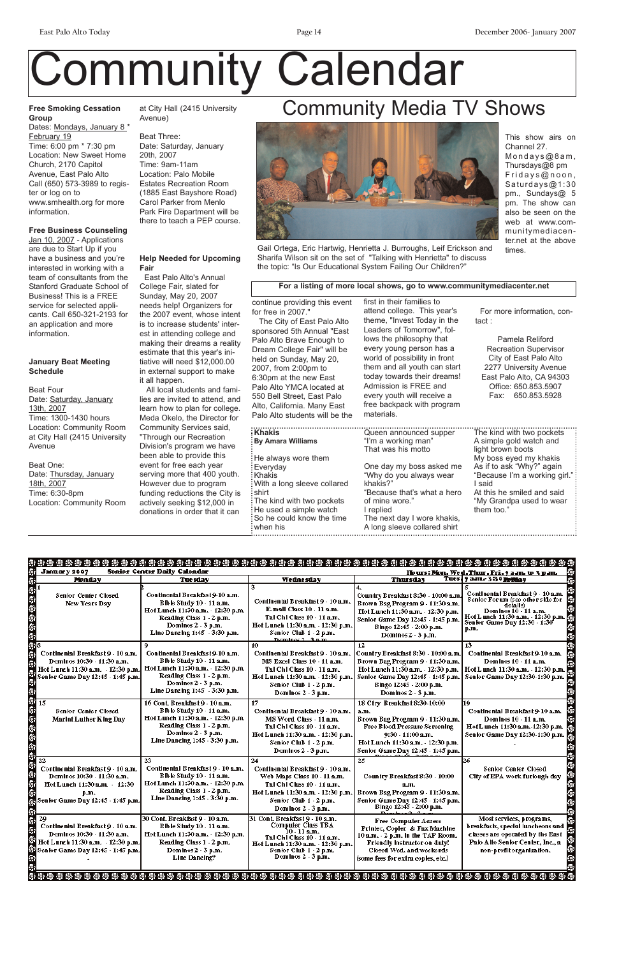#### **Free Smoking Cessation Group**

Dates: Mondays, January 8<sup>\*</sup> February 19 Time: 6:00 pm \* 7:30 pm Location: New Sweet Home Church, 2170 Capitol Avenue, East Palo Alto Call (650) 573-3989 to register or log on to www.smhealth.org for more information.

Jan 10, 2007 - Applications are due to Start Up if you have a business and you're interested in working with a team of consultants from the Stanford Graduate School of Business! This is a FREE service for selected applicants. Call 650-321-2193 for an application and more information.

#### **Free Business Counseling**

#### **January Beat Meeting Schedule**

Beat Four Date: Saturday, January 13th, 2007 Time: 1300-1430 hours Location: Community Room at City Hall (2415 University Avenue

#### Beat One: Date: Thursday, January 18th, 2007 Time: 6:30-8pm Location: Community Room

at City Hall (2415 University Avenue)

Beat Three: Date: Saturday, January 20th, 2007 Time: 9am-11am Location: Palo Mobile Estates Recreation Room (1885 East Bayshore Road) Carol Parker from Menlo Park Fire Department will be there to teach a PEP course.

#### **Help Needed for Upcoming Fair**

East Palo Alto's Annual College Fair, slated for Sunday, May 20, 2007 needs help! Organizers for the 2007 event, whose intent is to increase students' interest in attending college and making their dreams a reality estimate that this year's initiative will need \$12,000.00 in external support to make it all happen.

All local students and families are invited to attend, and learn how to plan for college. Meda Okelo, the Director for Community Services said, "Through our Recreation Division's program we have been able to provide this event for free each year serving more that 400 youth. However due to program funding reductions the City is actively seeking \$12,000 in donations in order that it can

# Community Calendar

## Community Media TV Shows



Gail Ortega, Eric Hartwig, Henrietta J. Burroughs, Leif Erickson and Sharifa Wilson sit on the set of "Talking with Henrietta" to discuss the topic: "Is Our Educational System Failing Our Children?"

This show airs on Channel 27. Mondays@8am, Thursdays@8 pm Fridays@noon, Saturdays@1:30 pm., Sundays@ 5 pm. The show can also be seen on the web at www.communitymediacenter.net at the above times.

continue providing this event for free in 2007." The City of East Palo Alto sponsored 5th Annual "East Palo Alto Brave Enough to Dream College Fair" will be held on Sunday, May 20, 2007, from 2:00pm to 6:30pm at the new East Palo Alto YMCA located at 550 Bell Street, East Palo Alto, California. Many East Palo Alto students will be the first in their families to attend college. This year's theme, "Invest Today in the Leaders of Tomorrow", follows the philosophy that every young person has a world of possibility in front them and all youth can start today towards their dreams! Admission is FREE and every youth will receive a free backpack with program materials.

For more information, contact :

Pamela Reliford Recreation Supervisor City of East Palo Alto 2277 University Avenue East Palo Alto, CA 94303 Office: 650.853.5907 Fax: 650.853.5928

#### **For a listing of more local shows, go to www.communitymediacenter.net**

| <b>∶Khakis</b>                | Queen announced supper       | The kind with two pockets     |
|-------------------------------|------------------------------|-------------------------------|
| <b>By Amara Williams</b>      | "I'm a working man"          | A simple gold watch and       |
|                               | That was his motto           | light brown boots             |
| : He always wore them         |                              | My boss eyed my khakis        |
| : Everyday                    | One day my boss asked me     | As if to ask "Why?" again     |
| : Khakis                      | "Why do you always wear      | "Because I'm a working girl." |
| : With a long sleeve collared | khakis?"                     | I said                        |
| : shirt                       | "Because that's what a hero  | At this he smiled and said    |
| The kind with two pockets     | of mine wore."               | "My Grandpa used to wear      |
| : He used a simple watch      | I replied                    | them too."                    |
| So he could know the time     | The next day I wore khakis,  |                               |
| when his                      | A long sleeve collared shirt |                               |

| <b>January 2007</b>                                                                                                                                    | Senior Center Daily Calendar                                                                                                                                                            |                                                                                                                                                                                             |                                                                                                                                                                                                                       |                                                                                                                                                                                     |
|--------------------------------------------------------------------------------------------------------------------------------------------------------|-----------------------------------------------------------------------------------------------------------------------------------------------------------------------------------------|---------------------------------------------------------------------------------------------------------------------------------------------------------------------------------------------|-----------------------------------------------------------------------------------------------------------------------------------------------------------------------------------------------------------------------|-------------------------------------------------------------------------------------------------------------------------------------------------------------------------------------|
|                                                                                                                                                        |                                                                                                                                                                                         |                                                                                                                                                                                             |                                                                                                                                                                                                                       | <u> Hours: Mon. Wed. Thur. Fri. 9 a.m. to 3 p.m. .</u>                                                                                                                              |
| <b>Monday</b>                                                                                                                                          | Tuesday                                                                                                                                                                                 | <b>Wednesday</b>                                                                                                                                                                            | <b>Thursday</b>                                                                                                                                                                                                       | Tues 9 am - 330 Primay                                                                                                                                                              |
| 计步步命令命令<br>Senior Center Closed<br>New Years Day                                                                                                       | Continental Breakfast 9-10 a.m.<br>Blble Study 10 - 11 a.m.<br>Hot Lunch 11:30 a.m. - 12:30 p.m.<br>Reading Class 1 - 2 p.m.<br>Dominos $2 - 3$ p.m.<br>Line Dancing $1:45 - 3:30$ p.m. | Continental Breakfast 9 - 10 a.m.<br>E-mail Class $10 - 11$ a.m.<br>Tal Chi Class 10 - 11 a.m.<br>Hot Lunch 11:30 a.m. - 12:30 p.m.<br>Senior Club 1 - 2 p.m.<br>Dominac $2, 3, n, m$       | Country Breakfast 8:30 - 10:00 a.m.<br>Brown Bag Program 9 - 11:30 a.m.<br>Hot Lunch 11:30 a.m. - 12:30 p.m.<br>Senior Game Day 12:45 - 1:45 p.m.<br>Bingo 12:45 - 2:00 p.m.<br>Dominos 2 - 3 p.m.                    | Continental Breakfast 9 - 10 a.m.<br>Senior Forum (see other side for<br>detalls)<br>Dominos $10 - 11$ a.m.<br>Hot Lunch 11:30 a.m. 12:30 p.m. Senior Game Day 12:30 - 1:30<br>p.m. |
| 4<br>Continental Breakfast 9 - 10 a.m.<br>Dominos 10:30 - 11:30 a.m.<br>Hot Lunch 11:30 a.m. 12:30 p.m.<br>Senior Game Day 12:45 - 1:45 p.m.           | Continental Breakfast 9-10 a.m.<br>Blble Study 10 - 11 a.m.<br>Hof Lunch 11:30 a.m. - 12:30 p.m.<br>Reading Class 1 - 2 p.m.<br>Dominos 2 - 3 p.m.<br>Line Dancing 1:45 - 3:30 p.m.     | 10.<br>Continental Breakfast 9 - 10 a.m.<br>MS Excel Class 10 - 11 a.m.<br>Tal Chl Class 10 - 11 a.m.<br>Hot Lunch 11:30 a.m. - 12:30 p.m.<br>Senior Club 1 - 2 p.m.<br>Dominos 2 - 3 p.m.  | 12<br> Country Breakfast 8:30 - 10:00 a.m. <br>Brown Bag Program 9 - 11:30 a.m.<br>Hot Lunch 11:30 a.m. - 12:30 p.m.<br>Senlor Game Day 12:45 - 1:45 p.m.<br>Blngo 12:45 - 2:00 p.m.<br>Dominos 2 - 3 p.m.            | 13<br>Continental Breakfast 9-10 a.m.<br>Dominos 10 - 11 a.m.<br>Hot L unch 11:30 a.m. - 12:30 p.m.<br>Senior Game Day 12:30-1:30 p.m.                                              |
| 电电电电电电容多多电电电电<br>15<br>Senior Center Closed<br><b>Marint Luther King Day</b>                                                                           | 16 Cont. Breakfast 9 - 10 a.m.<br>Blble Study 10 - 11 a.m.<br>Hot Lunch 11:30 a.m. - 12:30 p.m.<br>Reading Class 1 - 2 p.m.<br>Dominos $2 - 3$ p.m.<br>Line Dancing 1:45 - 3:30 p.m.    | 17<br>Continental Breakfast 9 - 10 a.m.<br>MS Word Class - 11 a.m.<br>Tal Chi Class 10 - 11 a.m.<br>Hot Lunch 11:30 a.m. - 12:30 p.m.<br>Senior Club 1 - 2 p.m.<br>Dominos 2 - 3 p.m.       | 18 Ctry Breakfast 8:30-10:00<br>a.m.<br>Brown Bag Program 9 - 11:30 a.m.<br><b>Free Blood Pressure Screening</b><br>$9:30 \cdot 11:00$ a.m.<br>Hot Lunch 11:30 a.m. - 12:30 p.m.<br>Senior Game Day 12:45 - 1:45 p.m. | 19<br>Continental Breakfast 9-10 a.m.<br>Dominos $10 - 11$ a.m.<br>Hot L unch 11:30 a.m. 12:30 p.m.<br>Senior Game Day 12:30-1:30 p.m.                                              |
| 22<br>Continental Breakfast 9 - 10 a.m.<br>Dominos 10:30 - 11:30 a.m.<br>Hot Lunch 11:30 a.m. - 12:30<br>p.m.<br>Senior Game Day 12:45 - 1:45 p.m.     | 23.<br>Continental Breakfast 9 - 10 a.m.<br>Blble Study 10 - 11 a.m.<br>Hot Lunch 11:30 a.m. - 12:30 p.m.<br>Reading Class 1 - 2 p.m.<br>Line Dancing 1:45 - 3:30 p.m.                  | 24<br>Continental Breakfast 9 - 10 a.m.<br>Web Maps Class 10 - 11 a.m.<br>Tal Chi Class 10 - 11 a.m.<br>Hot Lunch 11:30 a.m. - 12:30 p.m.<br>Senior Club 1 - 2 p.m.<br>Dominos $2 - 3$ p.m. | 25<br>Country Breakfast 8:30 - 10:00<br>a.m.<br>Brown Bag Program 9 - 11:30 a.m.<br>Senior Game Day 12:45 - 1:45 p.m.<br>Blngo 12:45 - 2:00 p.m.                                                                      | 26<br>Senior Center Closed<br>City of EPA work furlough day                                                                                                                         |
| 特鲁希多<br>20.<br>Continental Breakfast 9 - 10 a.m.<br>Dominos 10:30 11:30 a.m.<br>Hot Lunch 11:30 a.m. - 12:30 p.m.<br>Senior Game Day 12:45 - 1:45 p.m. | 30 Cont. Breakfast 9 - 10 a.m.<br>Blble Study 10 - 11 a.m.<br>Hot Lunch 11:30 a.m. - 12:30 p.m.<br>Reading Class 1 - 2 p.m.<br>Dominos $2 - 3$ p.m.<br>Line Dancing?                    | [31] Cont. Breakfast 9 - 10 a.m.<br>Computer Class TBA<br>10 - 11 a.m.<br>Tal Chi Class 10 - 11 a.m.<br>Hot Lunch 11:30 a.m. - 12:30 p.m.<br>Senior Club 1 - 2 p.m.<br>Dominos $2 - 3$ p.m. | <b>Free Computer Access</b><br>Printer, Copier & Fax Machine<br>10 a.m. - 2 p.m. In the TAP Room.<br>Friendly instructor on duty!<br>Closed Wed. and weekends<br>(some fees for extra coples, etc.)                   | Most services, programs,<br>breakfasts, special luncheons and<br>classes are operated by the East<br>Palo Alto Senlor Center, Inc., a<br>non-profit organization.                   |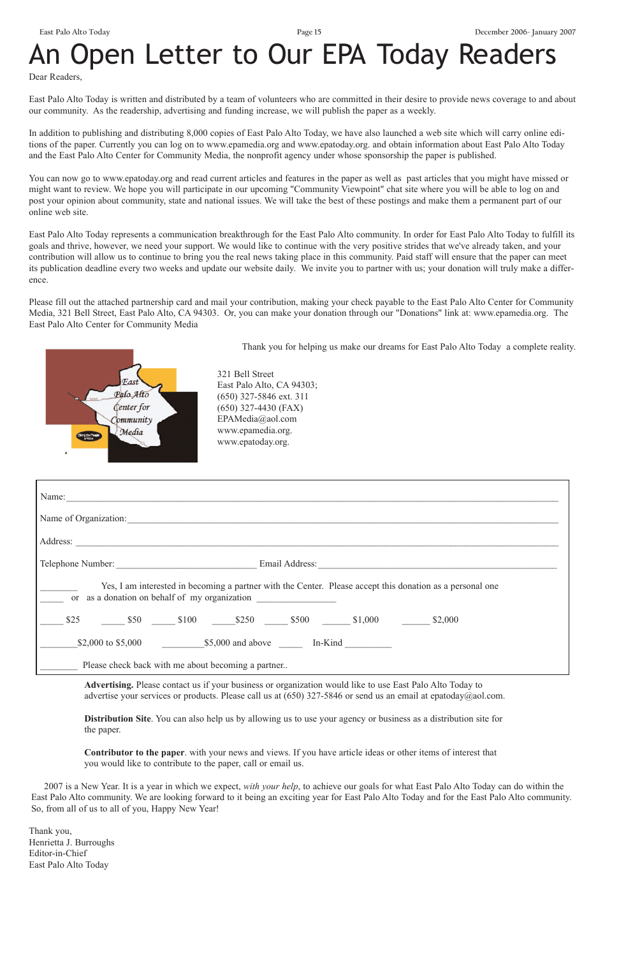# An Open Letter to Our EPA Today Readers

Dear Readers,

East Palo Alto Today is written and distributed by a team of volunteers who are committed in their desire to provide news coverage to and about our community. As the readership, advertising and funding increase, we will publish the paper as a weekly.

In addition to publishing and distributing 8,000 copies of East Palo Alto Today, we have also launched a web site which will carry online editions of the paper. Currently you can log on to www.epamedia.org and www.epatoday.org. and obtain information about East Palo Alto Today and the East Palo Alto Center for Community Media, the nonprofit agency under whose sponsorship the paper is published.

You can now go to www.epatoday.org and read current articles and features in the paper as well as past articles that you might have missed or might want to review. We hope you will participate in our upcoming "Community Viewpoint" chat site where you will be able to log on and post your opinion about community, state and national issues. We will take the best of these postings and make them a permanent part of our online web site.

> **Advertising.** Please contact us if your business or organization would like to use East Palo Alto Today to advertise your services or products. Please call us at (650) 327-5846 or send us an email at epatoday@aol.com.

East Palo Alto Today represents a communication breakthrough for the East Palo Alto community. In order for East Palo Alto Today to fulfill its goals and thrive, however, we need your support. We would like to continue with the very positive strides that we've already taken, and your contribution will allow us to continue to bring you the real news taking place in this community. Paid staff will ensure that the paper can meet its publication deadline every two weeks and update our website daily. We invite you to partner with us; your donation will truly make a difference.

Please fill out the attached partnership card and mail your contribution, making your check payable to the East Palo Alto Center for Community Media, 321 Bell Street, East Palo Alto, CA 94303. Or, you can make your donation through our "Donations" link at: www.epamedia.org. The East Palo Alto Center for Community Media



Thank you for helping us make our dreams for East Palo Alto Today a complete reality.

**Distribution Site**. You can also help us by allowing us to use your agency or business as a distribution site for the paper.

**Contributor to the paper**. with your news and views. If you have article ideas or other items of interest that you would like to contribute to the paper, call or email us.

2007 is a New Year. It is a year in which we expect, *with your help*, to achieve our goals for what East Palo Alto Today can do within the East Palo Alto community. We are looking forward to it being an exciting year for East Palo Alto Today and for the East Palo Alto community. So, from all of us to all of you, Happy New Year!

Thank you, Henrietta J. Burroughs Editor-in-Chief East Palo Alto Today

321 Bell Street East Palo Alto, CA 94303; (650) 327-5846 ext. 311 (650) 327-4430 (FAX) EPAMedia@aol.com www.epamedia.org. www.epatoday.org.

| Name:                                                                                                                                                      |  |  |  |  |
|------------------------------------------------------------------------------------------------------------------------------------------------------------|--|--|--|--|
| Name of Organization:                                                                                                                                      |  |  |  |  |
| Address:                                                                                                                                                   |  |  |  |  |
|                                                                                                                                                            |  |  |  |  |
| Yes, I am interested in becoming a partner with the Center. Please accept this donation as a personal one<br>or as a donation on behalf of my organization |  |  |  |  |
| \$25 50 550 5100 5250 5500 51,000 52,000                                                                                                                   |  |  |  |  |
| $$2,000$ to \$5,000 $$5,000$ and above In-Kind                                                                                                             |  |  |  |  |
| Please check back with me about becoming a partner                                                                                                         |  |  |  |  |